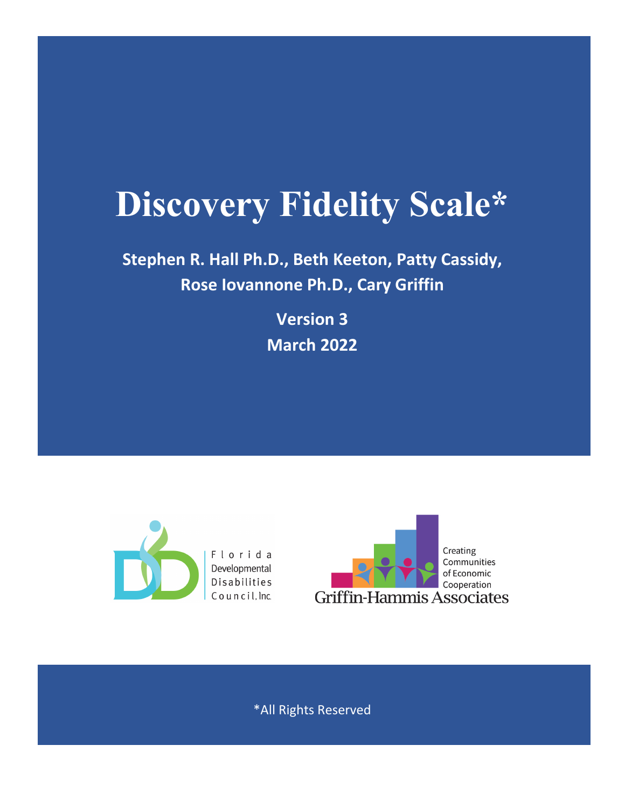# **Discovery Fidelity Scale\***

**Stephen R. Hall Ph.D., Beth Keeton, Patty Cassidy, Rose Iovannone Ph.D., Cary Griffin** 

> **Version ï ‰Œ]o 2022**



\*All Rights Reserved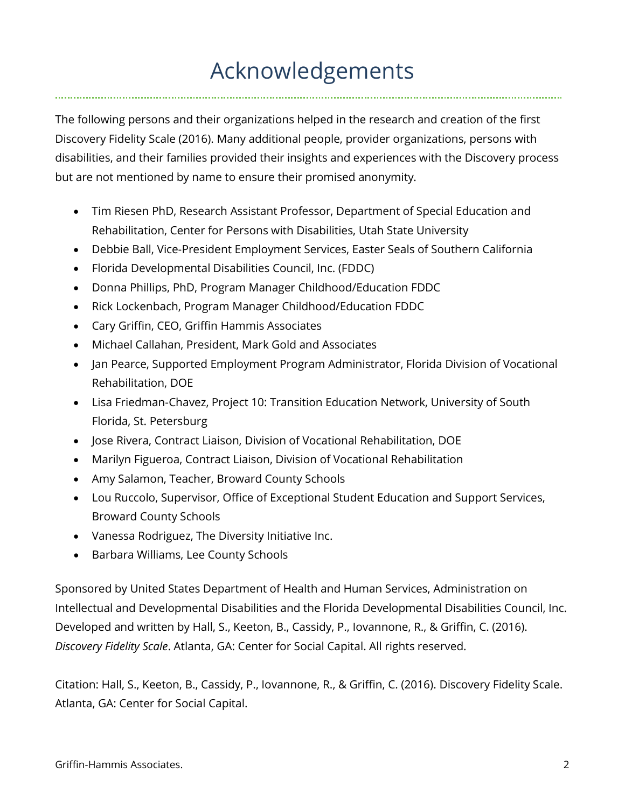# Acknowledgements

The following persons and their organizations helped in the research and creation of the first Discovery Fidelity Scale (2016). Many additional people, provider organizations, persons with disabilities, and their families provided their insights and experiences with the Discovery process but are not mentioned by name to ensure their promised anonymity.

- Tim Riesen PhD, Research Assistant Professor, Department of Special Education and Rehabilitation, Center for Persons with Disabilities, Utah State University
- Debbie Ball, Vice-President Employment Services, Easter Seals of Southern California
- Florida Developmental Disabilities Council, Inc. (FDDC)
- Donna Phillips, PhD, Program Manager Childhood/Education FDDC
- Rick Lockenbach, Program Manager Childhood/Education FDDC
- Cary Griffin, CEO, Griffin Hammis Associates
- Michael Callahan, President, Mark Gold and Associates
- Jan Pearce, Supported Employment Program Administrator, Florida Division of Vocational Rehabilitation, DOE
- Lisa Friedman-Chavez, Project 10: Transition Education Network, University of South Florida, St. Petersburg
- Jose Rivera, Contract Liaison, Division of Vocational Rehabilitation, DOE
- Marilyn Figueroa, Contract Liaison, Division of Vocational Rehabilitation
- Amy Salamon, Teacher, Broward County Schools
- Lou Ruccolo, Supervisor, Office of Exceptional Student Education and Support Services, Broward County Schools
- Vanessa Rodriguez, The Diversity Initiative Inc.
- Barbara Williams, Lee County Schools

Sponsored by United States Department of Health and Human Services, Administration on Intellectual and Developmental Disabilities and the Florida Developmental Disabilities Council, Inc. Developed and written by Hall, S., Keeton, B., Cassidy, P., Iovannone, R., & Griffin, C. (2016). *Discovery Fidelity Scale*. Atlanta, GA: Center for Social Capital. All rights reserved.

Citation: Hall, S., Keeton, B., Cassidy, P., Iovannone, R., & Griffin, C. (2016). Discovery Fidelity Scale. Atlanta, GA: Center for Social Capital.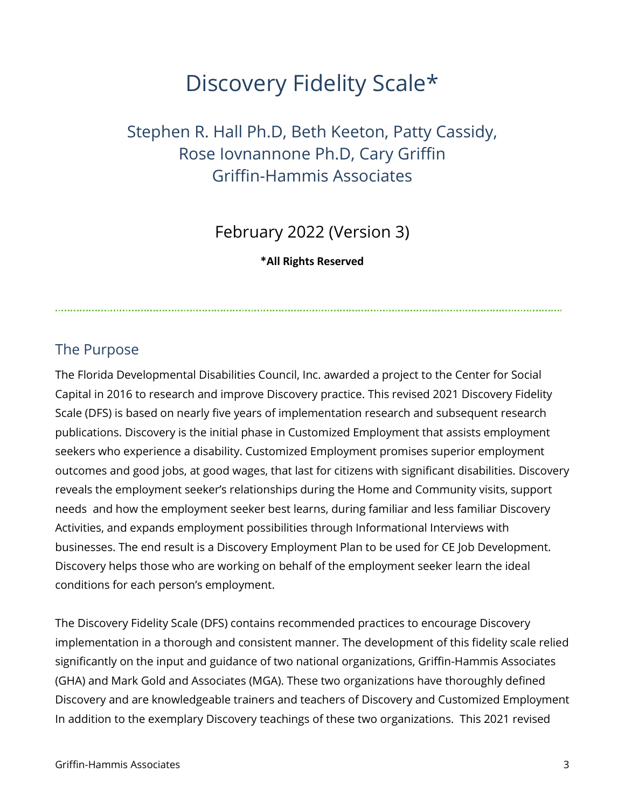# Discovery Fidelity Scale\*

# Stephen R. Hall Ph.D, Beth Keeton, Patty Cassidy, Rose Iovnannone Ph.D, Cary Griffin Griffin-Hammis Associates

February 2022 (Version 3)

**\*All Rights Reserved**

### The Purpose

The Florida Developmental Disabilities Council, Inc. awarded a project to the Center for Social Capital in 2016 to research and improve Discovery practice. This revised 2021 Discovery Fidelity Scale (DFS) is based on nearly five years of implementation research and subsequent research publications. Discovery is the initial phase in Customized Employment that assists employment seekers who experience a disability. Customized Employment promises superior employment outcomes and good jobs, at good wages, that last for citizens with significant disabilities. Discovery reveals the employment seeker's relationships during the Home and Community visits, support needs and how the employment seeker best learns, during familiar and less familiar Discovery Activities, and expands employment possibilities through Informational Interviews with businesses. The end result is a Discovery Employment Plan to be used for CE Job Development. Discovery helps those who are working on behalf of the employment seeker learn the ideal conditions for each person's employment.

The Discovery Fidelity Scale (DFS) contains recommended practices to encourage Discovery implementation in a thorough and consistent manner. The development of this fidelity scale relied significantly on the input and guidance of two national organizations, Griffin-Hammis Associates (GHA) and Mark Gold and Associates (MGA). These two organizations have thoroughly defined Discovery and are knowledgeable trainers and teachers of Discovery and Customized Employment In addition to the exemplary Discovery teachings of these two organizations. This 2021 revised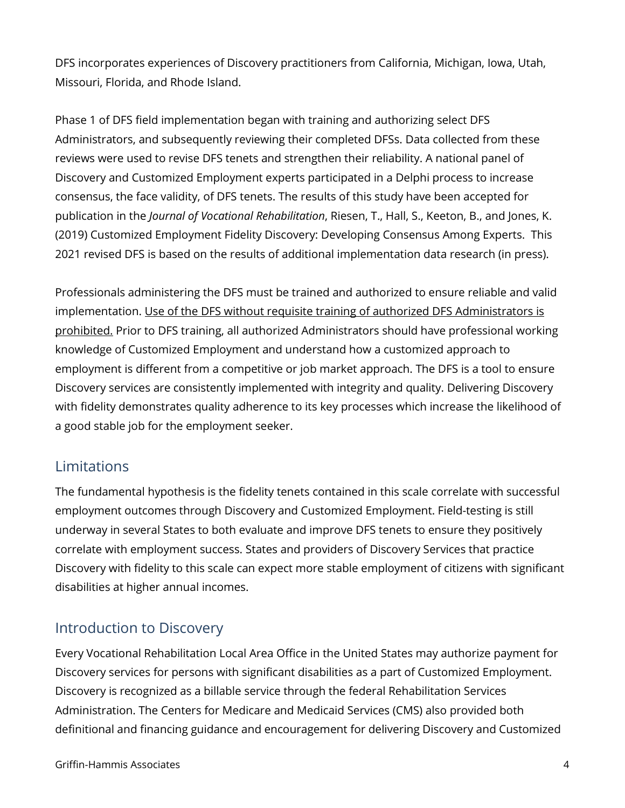DFS incorporates experiences of Discovery practitioners from California, Michigan, Iowa, Utah, Missouri, Florida, and Rhode Island.

Phase 1 of DFS field implementation began with training and authorizing select DFS Administrators, and subsequently reviewing their completed DFSs. Data collected from these reviews were used to revise DFS tenets and strengthen their reliability. A national panel of Discovery and Customized Employment experts participated in a Delphi process to increase consensus, the face validity, of DFS tenets. The results of this study have been accepted for publication in the *Journal of Vocational Rehabilitation*, Riesen, T., Hall, S., Keeton, B., and Jones, K. (2019) Customized Employment Fidelity Discovery: Developing Consensus Among Experts. This 2021 revised DFS is based on the results of additional implementation data research (in press).

Professionals administering the DFS must be trained and authorized to ensure reliable and valid implementation. Use of the DFS without requisite training of authorized DFS Administrators is prohibited. Prior to DFS training, all authorized Administrators should have professional working knowledge of Customized Employment and understand how a customized approach to employment is different from a competitive or job market approach. The DFS is a tool to ensure Discovery services are consistently implemented with integrity and quality. Delivering Discovery with fidelity demonstrates quality adherence to its key processes which increase the likelihood of a good stable job for the employment seeker.

#### Limitations

The fundamental hypothesis is the fidelity tenets contained in this scale correlate with successful employment outcomes through Discovery and Customized Employment. Field-testing is still underway in several States to both evaluate and improve DFS tenets to ensure they positively correlate with employment success. States and providers of Discovery Services that practice Discovery with fidelity to this scale can expect more stable employment of citizens with significant disabilities at higher annual incomes.

# Introduction to Discovery

Every Vocational Rehabilitation Local Area Office in the United States may authorize payment for Discovery services for persons with significant disabilities as a part of Customized Employment. Discovery is recognized as a billable service through the federal Rehabilitation Services Administration. The Centers for Medicare and Medicaid Services (CMS) also provided both definitional and financing guidance and encouragement for delivering Discovery and Customized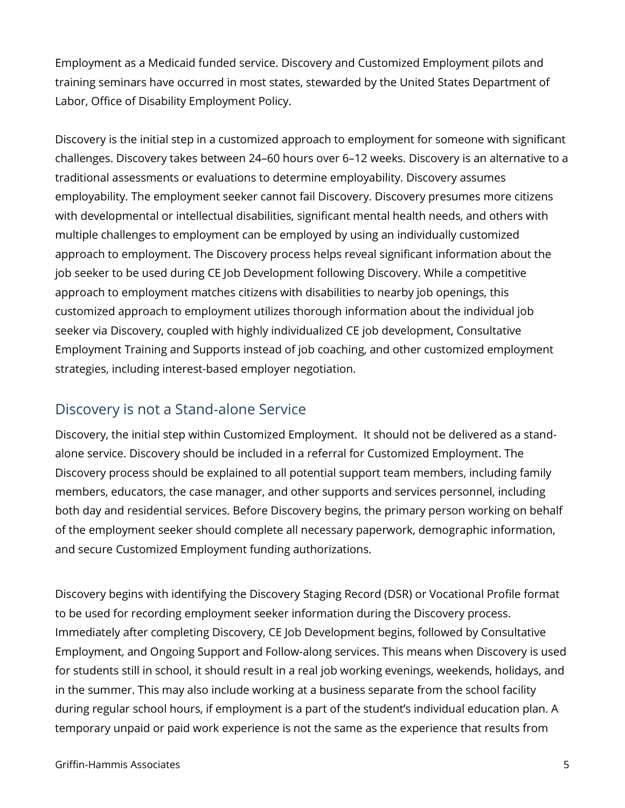Employment as a Medicaid funded service. Discovery and Customized Employment pilots and training seminars have occurred in most states, stewarded by the United States Department of Labor, Office of Disability Employment Policy.

Discovery is the initial step in a customized approach to employment for someone with significant challenges. Discovery takes between 24–60 hours over 6–12 weeks. Discovery is an alternative to a traditional assessments or evaluations to determine employability. Discovery assumes employability. The employment seeker cannot fail Discovery. Discovery presumes more citizens with developmental or intellectual disabilities, significant mental health needs, and others with multiple challenges to employment can be employed by using an individually customized approach to employment. The Discovery process helps reveal significant information about the job seeker to be used during CE Job Development following Discovery. While a competitive approach to employment matches citizens with disabilities to nearby job openings, this customized approach to employment utilizes thorough information about the individual job seeker via Discovery, coupled with highly individualized CE job development, Consultative Employment Training and Supports instead of job coaching, and other customized employment strategies, including interest-based employer negotiation.

#### Discovery is not a Stand-alone Service

Discovery, the initial step within Customized Employment. It should not be delivered as a standalone service. Discovery should be included in a referral for Customized Employment. The Discovery process should be explained to all potential support team members, including family members, educators, the case manager, and other supports and services personnel, including both day and residential services. Before Discovery begins, the primary person working on behalf of the employment seeker should complete all necessary paperwork, demographic information, and secure Customized Employment funding authorizations.

Discovery begins with identifying the Discovery Staging Record (DSR) or Vocational Profile format to be used for recording employment seeker information during the Discovery process. Immediately after completing Discovery, CE Job Development begins, followed by Consultative Employment, and Ongoing Support and Follow-along services. This means when Discovery is used for students still in school, it should result in a real job working evenings, weekends, holidays, and in the summer. This may also include working at a business separate from the school facility during regular school hours, if employment is a part of the student's individual education plan. A temporary unpaid or paid work experience is not the same as the experience that results from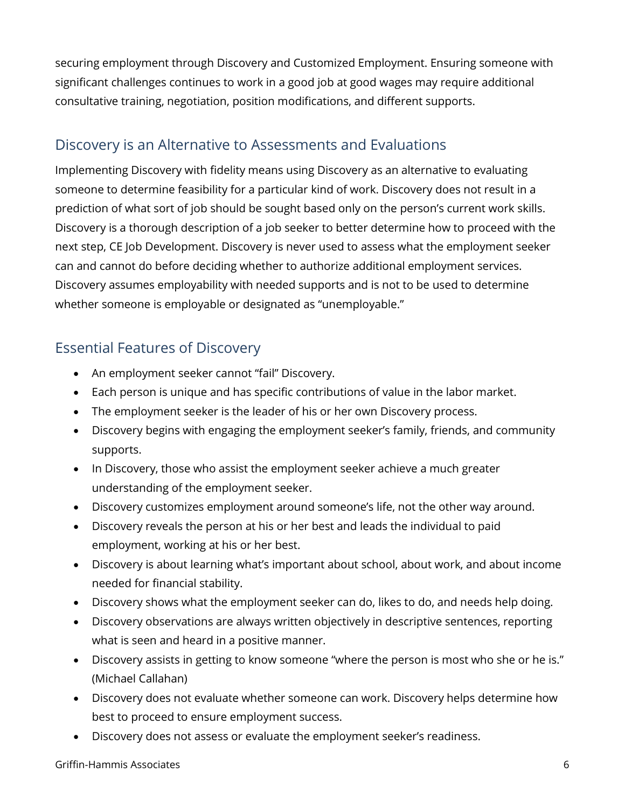securing employment through Discovery and Customized Employment. Ensuring someone with significant challenges continues to work in a good job at good wages may require additional consultative training, negotiation, position modifications, and different supports.

#### Discovery is an Alternative to Assessments and Evaluations

Implementing Discovery with fidelity means using Discovery as an alternative to evaluating someone to determine feasibility for a particular kind of work. Discovery does not result in a prediction of what sort of job should be sought based only on the person's current work skills. Discovery is a thorough description of a job seeker to better determine how to proceed with the next step, CE Job Development. Discovery is never used to assess what the employment seeker can and cannot do before deciding whether to authorize additional employment services. Discovery assumes employability with needed supports and is not to be used to determine whether someone is employable or designated as "unemployable."

### Essential Features of Discovery

- An employment seeker cannot "fail" Discovery.
- Each person is unique and has specific contributions of value in the labor market.
- The employment seeker is the leader of his or her own Discovery process.
- Discovery begins with engaging the employment seeker's family, friends, and community supports.
- In Discovery, those who assist the employment seeker achieve a much greater understanding of the employment seeker.
- Discovery customizes employment around someone's life, not the other way around.
- Discovery reveals the person at his or her best and leads the individual to paid employment, working at his or her best.
- Discovery is about learning what's important about school, about work, and about income needed for financial stability.
- Discovery shows what the employment seeker can do, likes to do, and needs help doing.
- Discovery observations are always written objectively in descriptive sentences, reporting what is seen and heard in a positive manner.
- Discovery assists in getting to know someone "where the person is most who she or he is." (Michael Callahan)
- Discovery does not evaluate whether someone can work. Discovery helps determine how best to proceed to ensure employment success.
- Discovery does not assess or evaluate the employment seeker's readiness.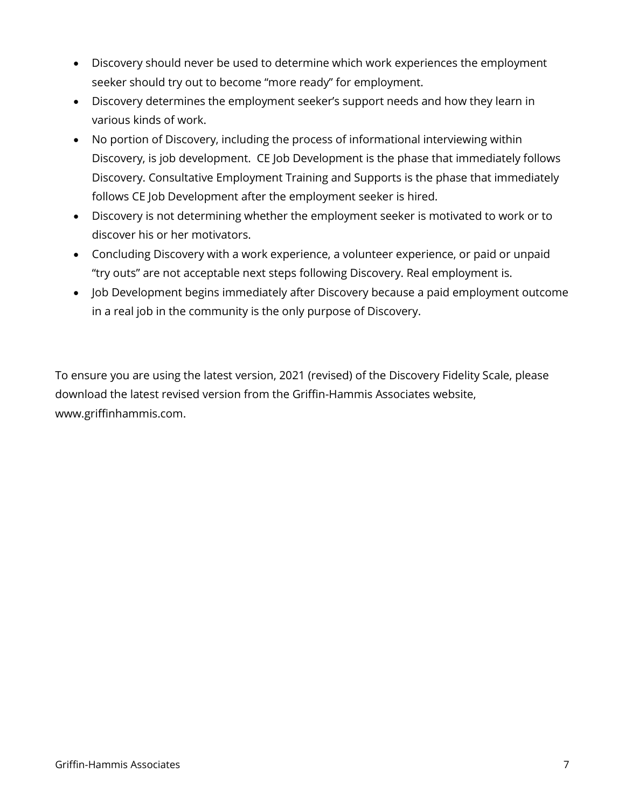- Discovery should never be used to determine which work experiences the employment seeker should try out to become "more ready" for employment.
- Discovery determines the employment seeker's support needs and how they learn in various kinds of work.
- No portion of Discovery, including the process of informational interviewing within Discovery, is job development. CE Job Development is the phase that immediately follows Discovery. Consultative Employment Training and Supports is the phase that immediately follows CE Job Development after the employment seeker is hired.
- Discovery is not determining whether the employment seeker is motivated to work or to discover his or her motivators.
- Concluding Discovery with a work experience, a volunteer experience, or paid or unpaid "try outs" are not acceptable next steps following Discovery. Real employment is.
- Job Development begins immediately after Discovery because a paid employment outcome in a real job in the community is the only purpose of Discovery.

To ensure you are using the latest version, 2021 (revised) of the Discovery Fidelity Scale, please download the latest revised version from the Griffin-Hammis Associates website, www.griffinhammis.com.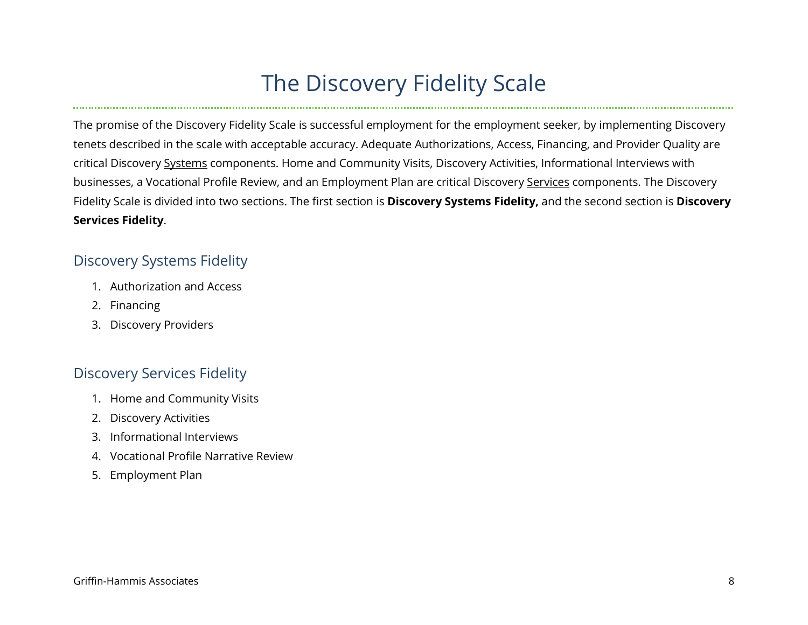# The Discovery Fidelity Scale

The promise of the Discovery Fidelity Scale is successful employment for the employment seeker, by implementing Discovery tenets described in the scale with acceptable accuracy. Adequate Authorizations, Access, Financing, and Provider Quality are critical Discovery Systems components. Home and Community Visits, Discovery Activities, Informational Interviews with businesses, a Vocational Profile Review, and an Employment Plan are critical Discovery Services components. The Discovery Fidelity Scale is divided into two sections. The first section is **Discovery Systems Fidelity,** and the second section is **Discovery Services Fidelity**.

#### Discovery Systems Fidelity

- 1. Authorization and Access
- 2. Financing
- 3. Discovery Providers

#### Discovery Services Fidelity

- 1. Home and Community Visits
- 2. Discovery Activities
- 3. Informational Interviews
- 4. Vocational Profile Narrative Review
- 5. Employment Plan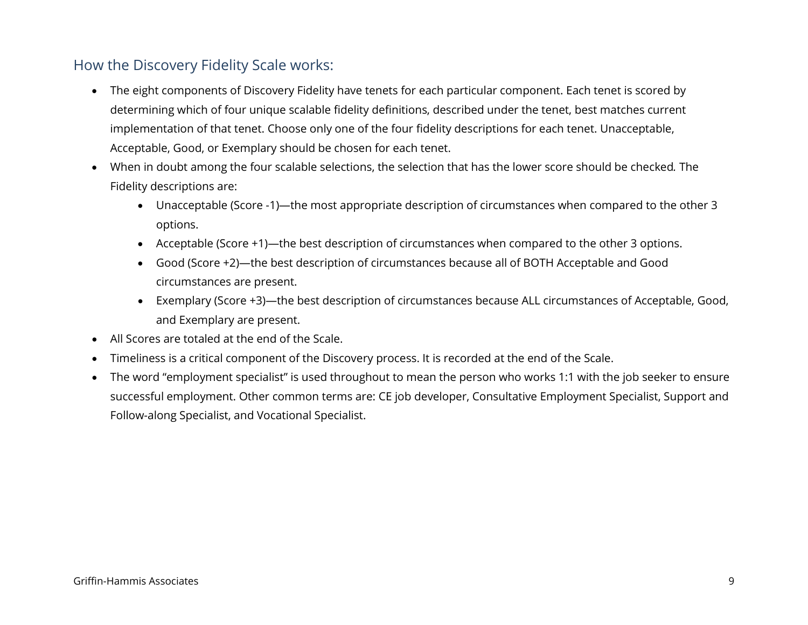### How the Discovery Fidelity Scale works:

- The eight components of Discovery Fidelity have tenets for each particular component. Each tenet is scored by determining which of four unique scalable fidelity definitions, described under the tenet, best matches current implementation of that tenet. Choose only one of the four fidelity descriptions for each tenet. Unacceptable, Acceptable, Good, or Exemplary should be chosen for each tenet.
- When in doubt among the four scalable selections, the selection that has the lower score should be checked*.* The Fidelity descriptions are:
	- Unacceptable (Score -1)—the most appropriate description of circumstances when compared to the other 3 options.
	- Acceptable (Score +1)—the best description of circumstances when compared to the other 3 options.
	- Good (Score +2)—the best description of circumstances because all of BOTH Acceptable and Good circumstances are present.
	- Exemplary (Score +3)—the best description of circumstances because ALL circumstances of Acceptable, Good, and Exemplary are present.
- All Scores are totaled at the end of the Scale.
- Timeliness is a critical component of the Discovery process. It is recorded at the end of the Scale.
- The word "employment specialist" is used throughout to mean the person who works 1:1 with the job seeker to ensure successful employment. Other common terms are: CE job developer, Consultative Employment Specialist, Support and Follow-along Specialist, and Vocational Specialist.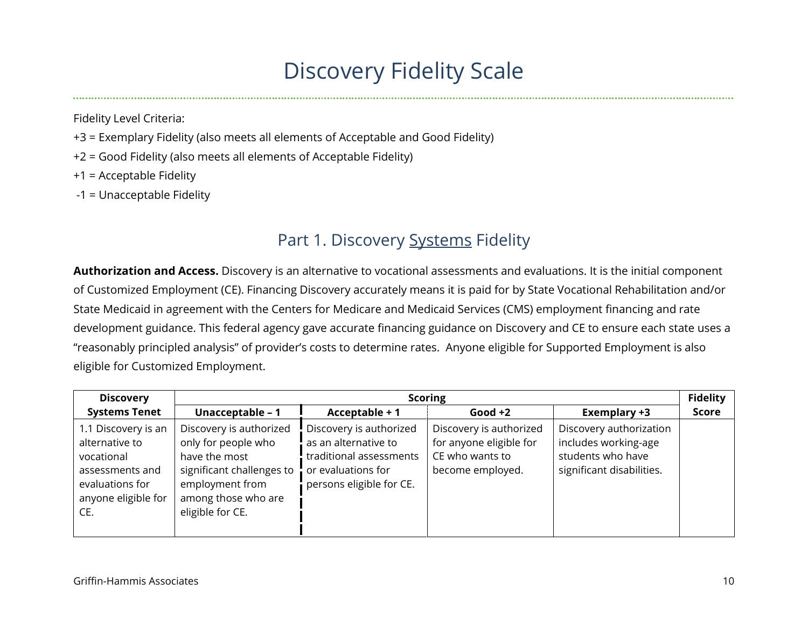# Discovery Fidelity Scale

Fidelity Level Criteria:

- +3 = Exemplary Fidelity (also meets all elements of Acceptable and Good Fidelity)
- +2 = Good Fidelity (also meets all elements of Acceptable Fidelity)

+1 = Acceptable Fidelity

-1 = Unacceptable Fidelity

# Part 1. Discovery Systems Fidelity

**Authorization and Access.** Discovery is an alternative to vocational assessments and evaluations. It is the initial component of Customized Employment (CE). Financing Discovery accurately means it is paid for by State Vocational Rehabilitation and/or State Medicaid in agreement with the Centers for Medicare and Medicaid Services (CMS) employment financing and rate development guidance. This federal agency gave accurate financing guidance on Discovery and CE to ensure each state uses a "reasonably principled analysis" of provider's costs to determine rates. Anyone eligible for Supported Employment is also eligible for Customized Employment.

| <b>Discovery</b>                                                                                                        | <b>Scoring</b>                                                                                                                                             |                                                                                                                              |                                                                                           |                                                                                                   |              |
|-------------------------------------------------------------------------------------------------------------------------|------------------------------------------------------------------------------------------------------------------------------------------------------------|------------------------------------------------------------------------------------------------------------------------------|-------------------------------------------------------------------------------------------|---------------------------------------------------------------------------------------------------|--------------|
| <b>Systems Tenet</b>                                                                                                    | Unacceptable - 1                                                                                                                                           | Acceptable + 1                                                                                                               | Good $+2$                                                                                 | Exemplary +3                                                                                      | <b>Score</b> |
| 1.1 Discovery is an<br>alternative to<br>vocational<br>assessments and<br>evaluations for<br>anyone eligible for<br>CE. | Discovery is authorized<br>only for people who<br>have the most<br>significant challenges to<br>employment from<br>among those who are<br>eligible for CE. | Discovery is authorized<br>as an alternative to<br>traditional assessments<br>or evaluations for<br>persons eligible for CE. | Discovery is authorized<br>for anyone eligible for<br>CE who wants to<br>become employed. | Discovery authorization<br>includes working-age<br>students who have<br>significant disabilities. |              |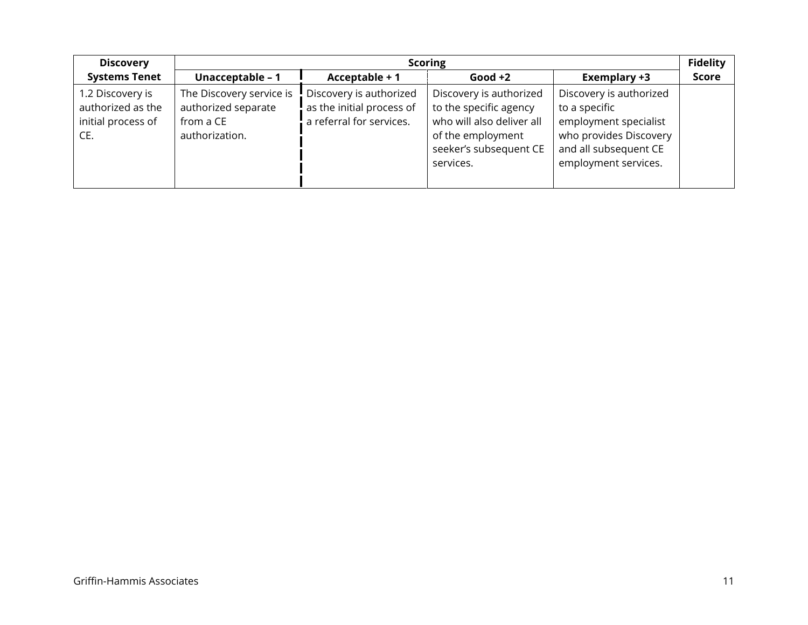| <b>Discovery</b>                                                   | <b>Scoring</b>                                                                 |                                                                                  |                                                                                                                                            |                                                                                                                                              |              |
|--------------------------------------------------------------------|--------------------------------------------------------------------------------|----------------------------------------------------------------------------------|--------------------------------------------------------------------------------------------------------------------------------------------|----------------------------------------------------------------------------------------------------------------------------------------------|--------------|
| <b>Systems Tenet</b>                                               | Unacceptable - 1                                                               | Acceptable + 1                                                                   | Good $+2$                                                                                                                                  | Exemplary +3                                                                                                                                 | <b>Score</b> |
| 1.2 Discovery is<br>authorized as the<br>initial process of<br>CE. | The Discovery service is<br>authorized separate<br>from a CE<br>authorization. | Discovery is authorized<br>as the initial process of<br>a referral for services. | Discovery is authorized<br>to the specific agency<br>who will also deliver all<br>of the employment<br>seeker's subsequent CE<br>services. | Discovery is authorized<br>to a specific<br>employment specialist<br>who provides Discovery<br>and all subsequent CE<br>employment services. |              |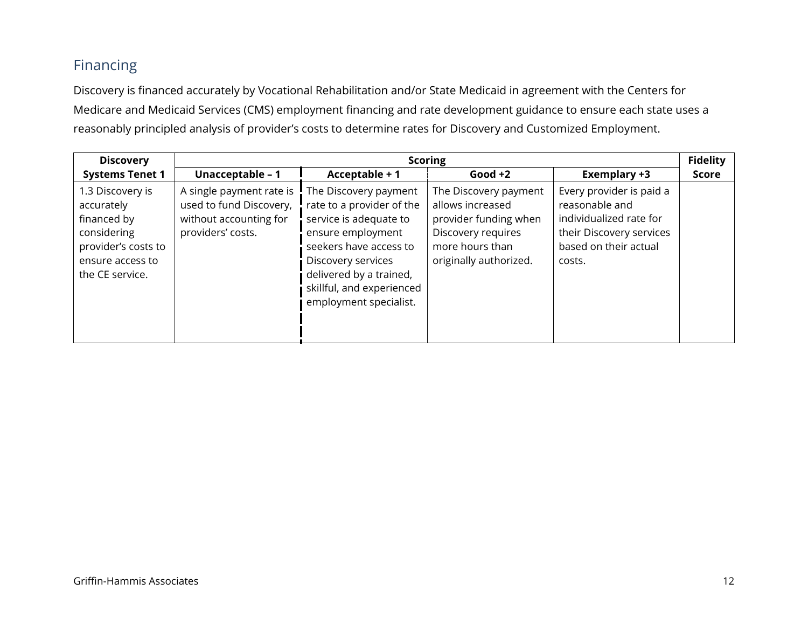# Financing

Discovery is financed accurately by Vocational Rehabilitation and/or State Medicaid in agreement with the Centers for Medicare and Medicaid Services (CMS) employment financing and rate development guidance to ensure each state uses a reasonably principled analysis of provider's costs to determine rates for Discovery and Customized Employment.

| <b>Discovery</b>                                                                                                           |                                                                                                    |                                                                                                                                                                                                                                     | <b>Scoring</b>                                                                                                                        |                                                                                                                                      | <b>Fidelity</b> |
|----------------------------------------------------------------------------------------------------------------------------|----------------------------------------------------------------------------------------------------|-------------------------------------------------------------------------------------------------------------------------------------------------------------------------------------------------------------------------------------|---------------------------------------------------------------------------------------------------------------------------------------|--------------------------------------------------------------------------------------------------------------------------------------|-----------------|
| <b>Systems Tenet 1</b>                                                                                                     | Unacceptable - 1                                                                                   | Acceptable + 1                                                                                                                                                                                                                      | $Good +2$                                                                                                                             | Exemplary +3                                                                                                                         | <b>Score</b>    |
| 1.3 Discovery is<br>accurately<br>financed by<br>considering<br>provider's costs to<br>ensure access to<br>the CE service. | A single payment rate is<br>used to fund Discovery,<br>without accounting for<br>providers' costs. | The Discovery payment<br>rate to a provider of the<br>service is adequate to<br>ensure employment<br>seekers have access to<br>Discovery services<br>delivered by a trained,<br>skillful, and experienced<br>employment specialist. | The Discovery payment<br>allows increased<br>provider funding when<br>Discovery requires<br>more hours than<br>originally authorized. | Every provider is paid a<br>reasonable and<br>individualized rate for<br>their Discovery services<br>based on their actual<br>costs. |                 |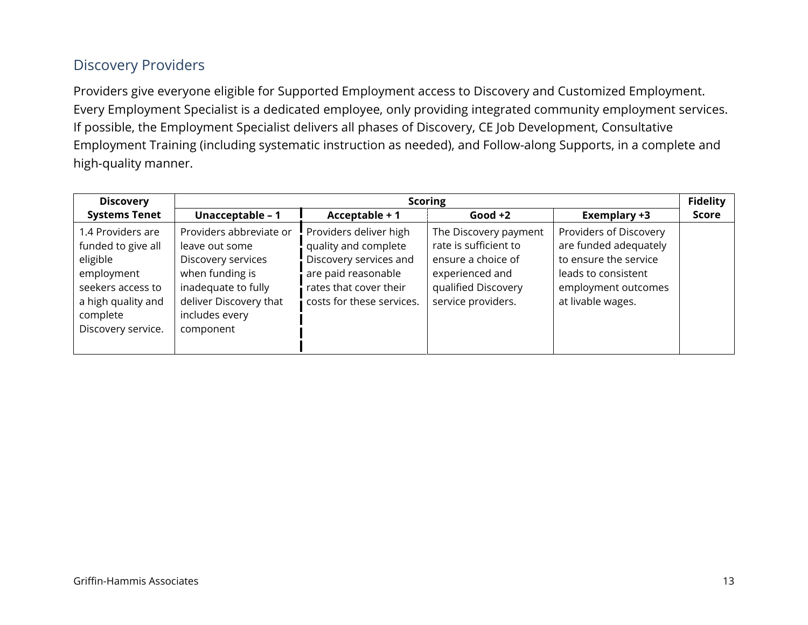### Discovery Providers

Providers give everyone eligible for Supported Employment access to Discovery and Customized Employment. Every Employment Specialist is a dedicated employee, only providing integrated community employment services. If possible, the Employment Specialist delivers all phases of Discovery, CE Job Development, Consultative Employment Training (including systematic instruction as needed), and Follow-along Supports, in a complete and high-quality manner.

| <b>Discovery</b>                                                                                                                               | <b>Scoring</b>                                                                                                                                                     |                                                                                                                                                        |                                                                                                                                      |                                                                                                                                             |              |
|------------------------------------------------------------------------------------------------------------------------------------------------|--------------------------------------------------------------------------------------------------------------------------------------------------------------------|--------------------------------------------------------------------------------------------------------------------------------------------------------|--------------------------------------------------------------------------------------------------------------------------------------|---------------------------------------------------------------------------------------------------------------------------------------------|--------------|
| <b>Systems Tenet</b>                                                                                                                           | Unacceptable - 1                                                                                                                                                   | Acceptable + 1                                                                                                                                         | $Good +2$                                                                                                                            | Exemplary +3                                                                                                                                | <b>Score</b> |
| 1.4 Providers are<br>funded to give all<br>eligible<br>employment<br>seekers access to<br>a high quality and<br>complete<br>Discovery service. | Providers abbreviate or<br>leave out some<br>Discovery services<br>when funding is<br>inadequate to fully<br>deliver Discovery that<br>includes every<br>component | Providers deliver high<br>quality and complete<br>Discovery services and<br>are paid reasonable<br>rates that cover their<br>costs for these services. | The Discovery payment<br>rate is sufficient to<br>ensure a choice of<br>experienced and<br>qualified Discovery<br>service providers. | Providers of Discovery<br>are funded adequately<br>to ensure the service<br>leads to consistent<br>employment outcomes<br>at livable wages. |              |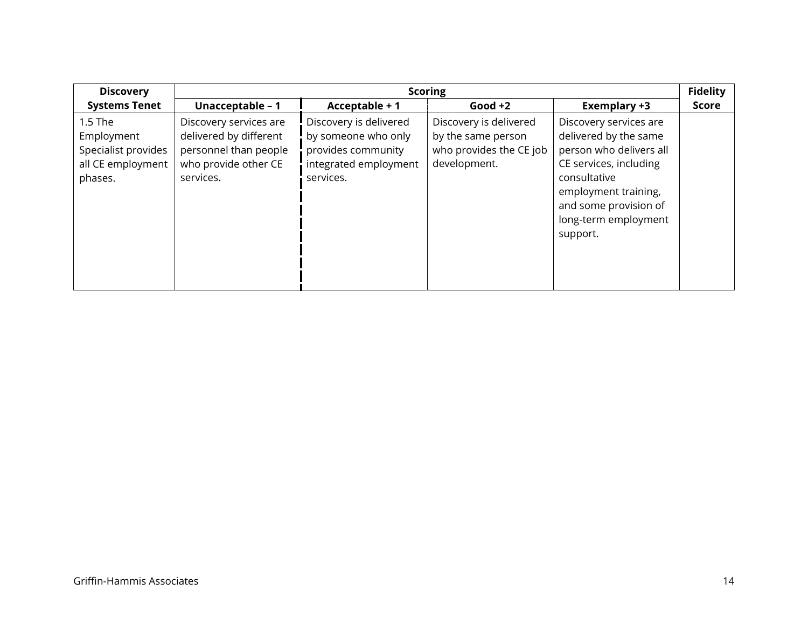| <b>Discovery</b>                                                             |                                                                                                                |                                                                                                           | <b>Scoring</b>                                                                          |                                                                                                                                                                                                           | <b>Fidelity</b> |
|------------------------------------------------------------------------------|----------------------------------------------------------------------------------------------------------------|-----------------------------------------------------------------------------------------------------------|-----------------------------------------------------------------------------------------|-----------------------------------------------------------------------------------------------------------------------------------------------------------------------------------------------------------|-----------------|
| <b>Systems Tenet</b>                                                         | Unacceptable - 1                                                                                               | Acceptable + 1                                                                                            | Good $+2$                                                                               | Exemplary +3                                                                                                                                                                                              | <b>Score</b>    |
| 1.5 The<br>Employment<br>Specialist provides<br>all CE employment<br>phases. | Discovery services are<br>delivered by different<br>personnel than people<br>who provide other CE<br>services. | Discovery is delivered<br>by someone who only<br>provides community<br>integrated employment<br>services. | Discovery is delivered<br>by the same person<br>who provides the CE job<br>development. | Discovery services are<br>delivered by the same<br>person who delivers all<br>CE services, including<br>consultative<br>employment training,<br>and some provision of<br>long-term employment<br>support. |                 |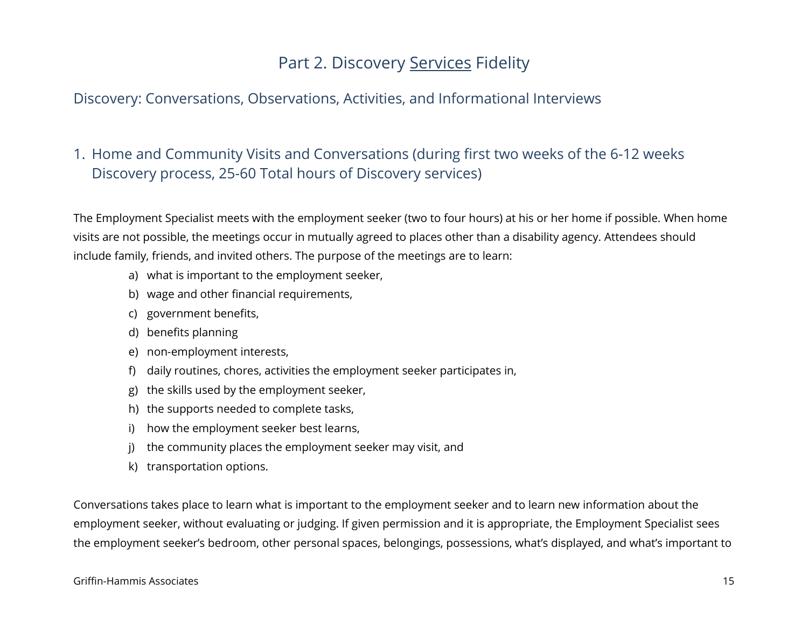# Part 2. Discovery Services Fidelity

#### Discovery: Conversations, Observations, Activities, and Informational Interviews

### 1. Home and Community Visits and Conversations (during first two weeks of the 6-12 weeks Discovery process, 25-60 Total hours of Discovery services)

The Employment Specialist meets with the employment seeker (two to four hours) at his or her home if possible. When home visits are not possible, the meetings occur in mutually agreed to places other than a disability agency. Attendees should include family, friends, and invited others. The purpose of the meetings are to learn:

- a) what is important to the employment seeker,
- b) wage and other financial requirements,
- c) government benefits,
- d) benefits planning
- e) non-employment interests,
- f) daily routines, chores, activities the employment seeker participates in,
- g) the skills used by the employment seeker,
- h) the supports needed to complete tasks,
- i) how the employment seeker best learns,
- j) the community places the employment seeker may visit, and
- k) transportation options.

Conversations takes place to learn what is important to the employment seeker and to learn new information about the employment seeker, without evaluating or judging. If given permission and it is appropriate, the Employment Specialist sees the employment seeker's bedroom, other personal spaces, belongings, possessions, what's displayed, and what's important to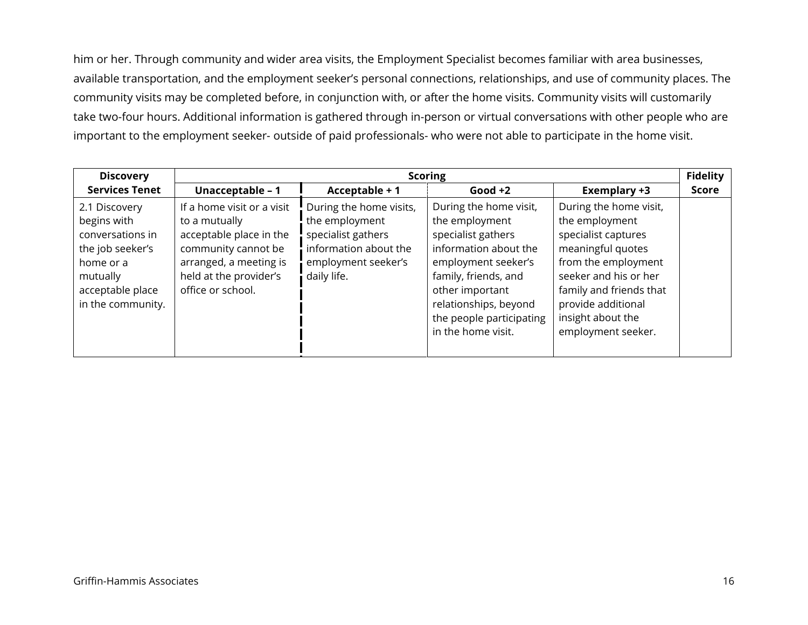him or her. Through community and wider area visits, the Employment Specialist becomes familiar with area businesses, available transportation, and the employment seeker's personal connections, relationships, and use of community places. The community visits may be completed before, in conjunction with, or after the home visits. Community visits will customarily take two-four hours. Additional information is gathered through in-person or virtual conversations with other people who are important to the employment seeker- outside of paid professionals- who were not able to participate in the home visit.

| <b>Discovery</b>                                                                                                                       | <b>Scoring</b>                                                                                                                                                         |                                                                                                                                |                                                                                                                                                                                                                                      |                                                                                                                                                                                                                                  |              |  |
|----------------------------------------------------------------------------------------------------------------------------------------|------------------------------------------------------------------------------------------------------------------------------------------------------------------------|--------------------------------------------------------------------------------------------------------------------------------|--------------------------------------------------------------------------------------------------------------------------------------------------------------------------------------------------------------------------------------|----------------------------------------------------------------------------------------------------------------------------------------------------------------------------------------------------------------------------------|--------------|--|
| <b>Services Tenet</b>                                                                                                                  | Unacceptable - 1                                                                                                                                                       | Acceptable + 1                                                                                                                 | Good $+2$                                                                                                                                                                                                                            | Exemplary +3                                                                                                                                                                                                                     | <b>Score</b> |  |
| 2.1 Discovery<br>begins with<br>conversations in<br>the job seeker's<br>home or a<br>mutually<br>acceptable place<br>in the community. | If a home visit or a visit<br>to a mutually<br>acceptable place in the<br>community cannot be<br>arranged, a meeting is<br>held at the provider's<br>office or school. | During the home visits,<br>the employment<br>specialist gathers<br>information about the<br>employment seeker's<br>daily life. | During the home visit,<br>the employment<br>specialist gathers<br>information about the<br>employment seeker's<br>family, friends, and<br>other important<br>relationships, beyond<br>the people participating<br>in the home visit. | During the home visit,<br>the employment<br>specialist captures<br>meaningful quotes<br>from the employment<br>seeker and his or her<br>family and friends that<br>provide additional<br>insight about the<br>employment seeker. |              |  |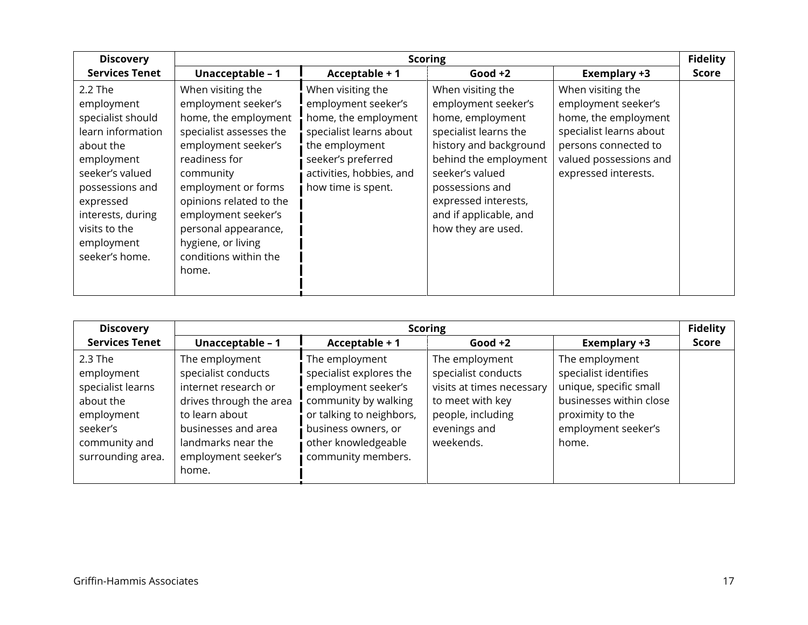| <b>Discovery</b>                                                                                                                                                                                                      | <b>Scoring</b>                                                                                                                                                                                                                                                                                            |                                                                                                                                                                                       |                                                                                                                                                                                                                                                        |                                                                                                                                                                       |              |
|-----------------------------------------------------------------------------------------------------------------------------------------------------------------------------------------------------------------------|-----------------------------------------------------------------------------------------------------------------------------------------------------------------------------------------------------------------------------------------------------------------------------------------------------------|---------------------------------------------------------------------------------------------------------------------------------------------------------------------------------------|--------------------------------------------------------------------------------------------------------------------------------------------------------------------------------------------------------------------------------------------------------|-----------------------------------------------------------------------------------------------------------------------------------------------------------------------|--------------|
| <b>Services Tenet</b>                                                                                                                                                                                                 | Unacceptable - 1                                                                                                                                                                                                                                                                                          | Acceptable + 1                                                                                                                                                                        | Good $+2$                                                                                                                                                                                                                                              | <b>Exemplary +3</b>                                                                                                                                                   | <b>Score</b> |
| $2.2$ The<br>employment<br>specialist should<br>learn information<br>about the<br>employment<br>seeker's valued<br>possessions and<br>expressed<br>interests, during<br>visits to the<br>employment<br>seeker's home. | When visiting the<br>employment seeker's<br>home, the employment<br>specialist assesses the<br>employment seeker's<br>readiness for<br>community<br>employment or forms<br>opinions related to the<br>employment seeker's<br>personal appearance,<br>hygiene, or living<br>conditions within the<br>home. | When visiting the<br>employment seeker's<br>home, the employment<br>specialist learns about<br>the employment<br>seeker's preferred<br>activities, hobbies, and<br>how time is spent. | When visiting the<br>employment seeker's<br>home, employment<br>specialist learns the<br>history and background<br>behind the employment<br>seeker's valued<br>possessions and<br>expressed interests,<br>and if applicable, and<br>how they are used. | When visiting the<br>employment seeker's<br>home, the employment<br>specialist learns about<br>persons connected to<br>valued possessions and<br>expressed interests. |              |

| <b>Discovery</b>                                                                                                        |                                                                                                                                                                                         | <b>Scoring</b>                                                                                                                                                                           |                                                                                                                                          |                                                                                                                                                  |       |  |
|-------------------------------------------------------------------------------------------------------------------------|-----------------------------------------------------------------------------------------------------------------------------------------------------------------------------------------|------------------------------------------------------------------------------------------------------------------------------------------------------------------------------------------|------------------------------------------------------------------------------------------------------------------------------------------|--------------------------------------------------------------------------------------------------------------------------------------------------|-------|--|
| <b>Services Tenet</b>                                                                                                   | Unacceptable - 1                                                                                                                                                                        | Acceptable + 1                                                                                                                                                                           | $Good +2$                                                                                                                                | <b>Exemplary +3</b>                                                                                                                              | Score |  |
| 2.3 The<br>employment<br>specialist learns<br>about the<br>employment<br>seeker's<br>community and<br>surrounding area. | The employment<br>specialist conducts<br>internet research or<br>drives through the area<br>to learn about<br>businesses and area<br>landmarks near the<br>employment seeker's<br>home. | The employment<br>specialist explores the<br>employment seeker's<br>community by walking<br>or talking to neighbors,<br>business owners, or<br>other knowledgeable<br>community members. | The employment<br>specialist conducts<br>visits at times necessary<br>to meet with key<br>people, including<br>evenings and<br>weekends. | The employment<br>specialist identifies<br>unique, specific small<br>businesses within close<br>proximity to the<br>employment seeker's<br>home. |       |  |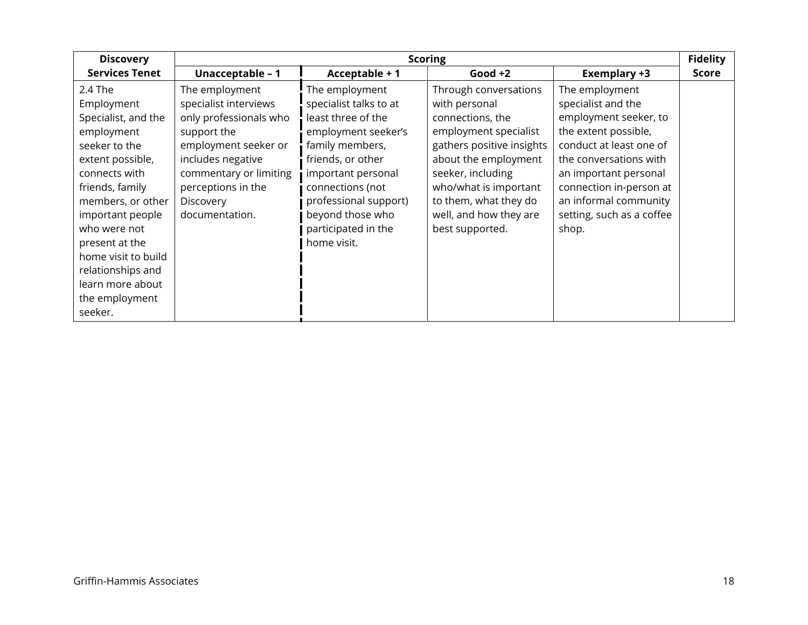| <b>Discovery</b>                                                                                                                                                                                                                                                                                            |                                                                                                                                                                                                              |                                                                                                                                                                                                                                                            | <b>Scoring</b>                                                                                                                                                                                                                                               |                                                                                                                                                                                                                                                               | <b>Fidelity</b> |
|-------------------------------------------------------------------------------------------------------------------------------------------------------------------------------------------------------------------------------------------------------------------------------------------------------------|--------------------------------------------------------------------------------------------------------------------------------------------------------------------------------------------------------------|------------------------------------------------------------------------------------------------------------------------------------------------------------------------------------------------------------------------------------------------------------|--------------------------------------------------------------------------------------------------------------------------------------------------------------------------------------------------------------------------------------------------------------|---------------------------------------------------------------------------------------------------------------------------------------------------------------------------------------------------------------------------------------------------------------|-----------------|
| <b>Services Tenet</b>                                                                                                                                                                                                                                                                                       | Unacceptable - 1                                                                                                                                                                                             | Acceptable + 1                                                                                                                                                                                                                                             | Good $+2$                                                                                                                                                                                                                                                    | <b>Exemplary +3</b>                                                                                                                                                                                                                                           | <b>Score</b>    |
| 2.4 The<br>Employment<br>Specialist, and the<br>employment<br>seeker to the<br>extent possible,<br>connects with<br>friends, family<br>members, or other<br>important people<br>who were not<br>present at the<br>home visit to build<br>relationships and<br>learn more about<br>the employment<br>seeker. | The employment<br>specialist interviews<br>only professionals who<br>support the<br>employment seeker or<br>includes negative<br>commentary or limiting<br>perceptions in the<br>Discovery<br>documentation. | The employment<br>specialist talks to at<br>least three of the<br>employment seeker's<br>family members,<br>friends, or other<br>important personal<br>connections (not<br>professional support)<br>beyond those who<br>participated in the<br>home visit. | Through conversations<br>with personal<br>connections, the<br>employment specialist<br>gathers positive insights<br>about the employment<br>seeker, including<br>who/what is important<br>to them, what they do<br>well, and how they are<br>best supported. | The employment<br>specialist and the<br>employment seeker, to<br>the extent possible,<br>conduct at least one of<br>the conversations with<br>an important personal<br>connection in-person at<br>an informal community<br>setting, such as a coffee<br>shop. |                 |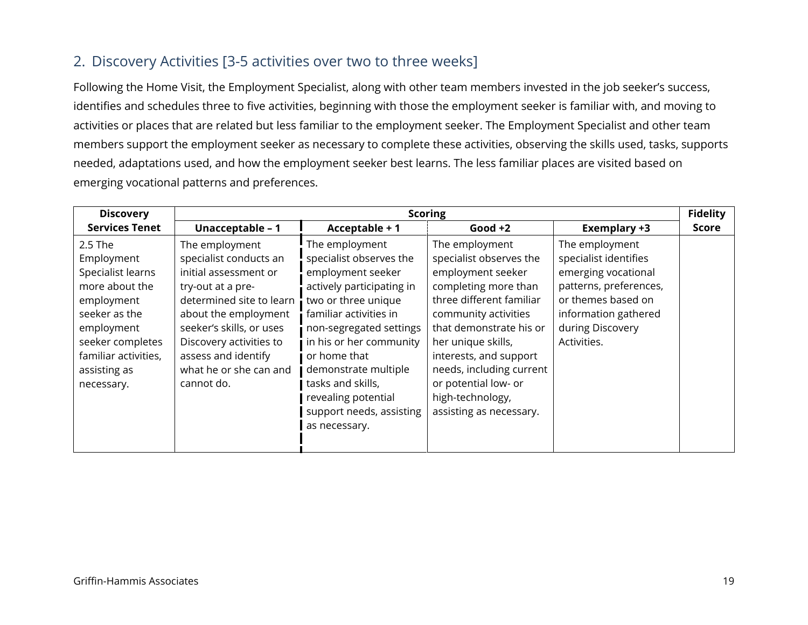#### 2. Discovery Activities [3-5 activities over two to three weeks]

Following the Home Visit, the Employment Specialist, along with other team members invested in the job seeker's success, identifies and schedules three to five activities, beginning with those the employment seeker is familiar with, and moving to activities or places that are related but less familiar to the employment seeker. The Employment Specialist and other team members support the employment seeker as necessary to complete these activities, observing the skills used, tasks, supports needed, adaptations used, and how the employment seeker best learns. The less familiar places are visited based on emerging vocational patterns and preferences.

| <b>Discovery</b>                                                                                                                                                                    | <b>Scoring</b>                                                                                                                                                                                                                                                   |                                                                                                                                                                                                                                                                                                                                     |                                                                                                                                                                                                                                                                                                                          |                                                                                                                                                                           | <b>Fidelity</b> |
|-------------------------------------------------------------------------------------------------------------------------------------------------------------------------------------|------------------------------------------------------------------------------------------------------------------------------------------------------------------------------------------------------------------------------------------------------------------|-------------------------------------------------------------------------------------------------------------------------------------------------------------------------------------------------------------------------------------------------------------------------------------------------------------------------------------|--------------------------------------------------------------------------------------------------------------------------------------------------------------------------------------------------------------------------------------------------------------------------------------------------------------------------|---------------------------------------------------------------------------------------------------------------------------------------------------------------------------|-----------------|
| <b>Services Tenet</b>                                                                                                                                                               | Unacceptable - 1                                                                                                                                                                                                                                                 | Acceptable + 1                                                                                                                                                                                                                                                                                                                      | Good $+2$                                                                                                                                                                                                                                                                                                                | Exemplary +3                                                                                                                                                              | <b>Score</b>    |
| 2.5 The<br>Employment<br>Specialist learns<br>more about the<br>employment<br>seeker as the<br>employment<br>seeker completes<br>familiar activities,<br>assisting as<br>necessary. | The employment<br>specialist conducts an<br>initial assessment or<br>try-out at a pre-<br>determined site to learn<br>about the employment<br>seeker's skills, or uses<br>Discovery activities to<br>assess and identify<br>what he or she can and<br>cannot do. | The employment<br>specialist observes the<br>employment seeker<br>actively participating in<br>two or three unique<br>familiar activities in<br>non-segregated settings<br>in his or her community<br>or home that<br>demonstrate multiple<br>tasks and skills,<br>revealing potential<br>support needs, assisting<br>as necessary. | The employment<br>specialist observes the<br>employment seeker<br>completing more than<br>three different familiar<br>community activities<br>that demonstrate his or<br>her unique skills,<br>interests, and support<br>needs, including current<br>or potential low- or<br>high-technology,<br>assisting as necessary. | The employment<br>specialist identifies<br>emerging vocational<br>patterns, preferences,<br>or themes based on<br>information gathered<br>during Discovery<br>Activities. |                 |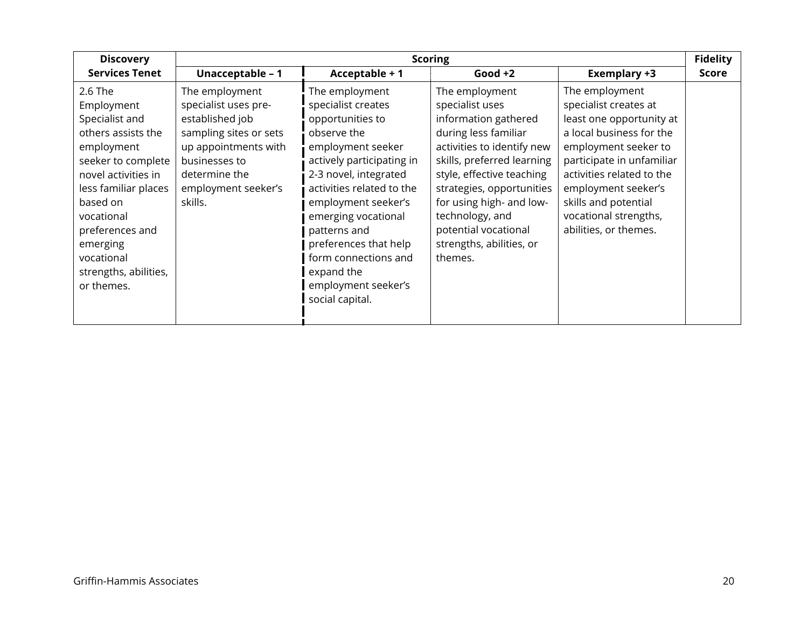| <b>Discovery</b>                                                                                                                                                                                                                                               |                                                                                                                                                                                 |                                                                                                                                                                                                                                                                                                                                                        | <b>Scoring</b>                                                                                                                                                                                                                                                                                                        |                                                                                                                                                                                                                                                                                    | <b>Fidelity</b> |
|----------------------------------------------------------------------------------------------------------------------------------------------------------------------------------------------------------------------------------------------------------------|---------------------------------------------------------------------------------------------------------------------------------------------------------------------------------|--------------------------------------------------------------------------------------------------------------------------------------------------------------------------------------------------------------------------------------------------------------------------------------------------------------------------------------------------------|-----------------------------------------------------------------------------------------------------------------------------------------------------------------------------------------------------------------------------------------------------------------------------------------------------------------------|------------------------------------------------------------------------------------------------------------------------------------------------------------------------------------------------------------------------------------------------------------------------------------|-----------------|
| <b>Services Tenet</b>                                                                                                                                                                                                                                          | Unacceptable - 1                                                                                                                                                                | Acceptable + 1                                                                                                                                                                                                                                                                                                                                         | Good $+2$                                                                                                                                                                                                                                                                                                             | Exemplary +3                                                                                                                                                                                                                                                                       | <b>Score</b>    |
| 2.6 The<br>Employment<br>Specialist and<br>others assists the<br>employment<br>seeker to complete<br>novel activities in<br>less familiar places<br>based on<br>vocational<br>preferences and<br>emerging<br>vocational<br>strengths, abilities,<br>or themes. | The employment<br>specialist uses pre-<br>established job<br>sampling sites or sets<br>up appointments with<br>businesses to<br>determine the<br>employment seeker's<br>skills. | The employment<br>specialist creates<br>opportunities to<br>observe the<br>employment seeker<br>actively participating in<br>2-3 novel, integrated<br>activities related to the<br>employment seeker's<br>emerging vocational<br>patterns and<br>preferences that help<br>form connections and<br>expand the<br>employment seeker's<br>social capital. | The employment<br>specialist uses<br>information gathered<br>during less familiar<br>activities to identify new<br>skills, preferred learning<br>style, effective teaching<br>strategies, opportunities<br>for using high- and low-<br>technology, and<br>potential vocational<br>strengths, abilities, or<br>themes. | The employment<br>specialist creates at<br>least one opportunity at<br>a local business for the<br>employment seeker to<br>participate in unfamiliar<br>activities related to the<br>employment seeker's<br>skills and potential<br>vocational strengths,<br>abilities, or themes. |                 |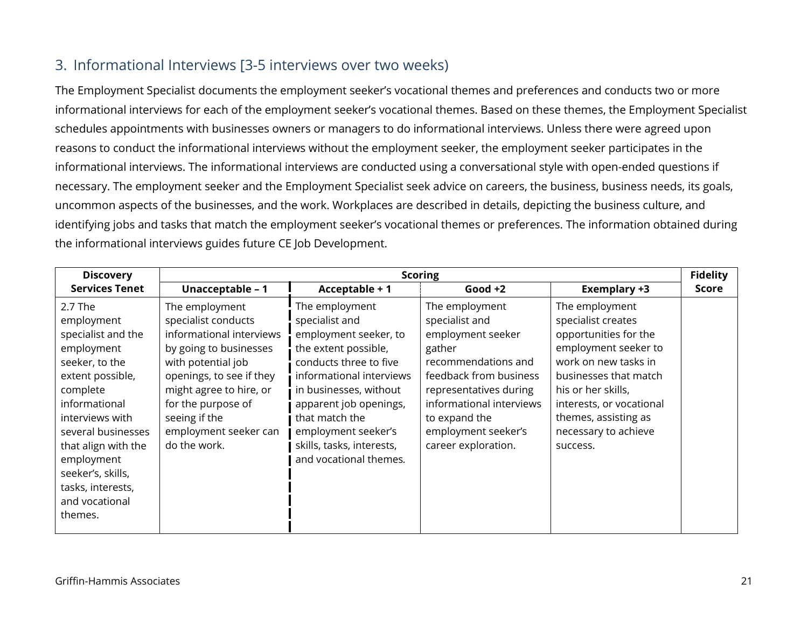### 3. Informational Interviews [3-5 interviews over two weeks)

The Employment Specialist documents the employment seeker's vocational themes and preferences and conducts two or more informational interviews for each of the employment seeker's vocational themes. Based on these themes, the Employment Specialist schedules appointments with businesses owners or managers to do informational interviews. Unless there were agreed upon reasons to conduct the informational interviews without the employment seeker, the employment seeker participates in the informational interviews. The informational interviews are conducted using a conversational style with open-ended questions if necessary. The employment seeker and the Employment Specialist seek advice on careers, the business, business needs, its goals, uncommon aspects of the businesses, and the work. Workplaces are described in details, depicting the business culture, and identifying jobs and tasks that match the employment seeker's vocational themes or preferences. The information obtained during the informational interviews guides future CE Job Development.

| <b>Discovery</b>                                                                                                                                                                                                                                                                  | <b>Scoring</b>                                                                                                                                                                                                                                           |                                                                                                                                                                                                                                                                                             |                                                                                                                                                                                                                                       |                                                                                                                                                                                                                                                      |              |
|-----------------------------------------------------------------------------------------------------------------------------------------------------------------------------------------------------------------------------------------------------------------------------------|----------------------------------------------------------------------------------------------------------------------------------------------------------------------------------------------------------------------------------------------------------|---------------------------------------------------------------------------------------------------------------------------------------------------------------------------------------------------------------------------------------------------------------------------------------------|---------------------------------------------------------------------------------------------------------------------------------------------------------------------------------------------------------------------------------------|------------------------------------------------------------------------------------------------------------------------------------------------------------------------------------------------------------------------------------------------------|--------------|
| <b>Services Tenet</b>                                                                                                                                                                                                                                                             | Unacceptable - 1                                                                                                                                                                                                                                         | Acceptable + 1                                                                                                                                                                                                                                                                              | Good $+2$                                                                                                                                                                                                                             | <b>Exemplary +3</b>                                                                                                                                                                                                                                  | <b>Score</b> |
| 2.7 The<br>employment<br>specialist and the<br>employment<br>seeker, to the<br>extent possible,<br>complete<br>informational<br>interviews with<br>several businesses<br>that align with the<br>employment<br>seeker's, skills,<br>tasks, interests,<br>and vocational<br>themes. | The employment<br>specialist conducts<br>informational interviews<br>by going to businesses<br>with potential job<br>openings, to see if they<br>might agree to hire, or<br>for the purpose of<br>seeing if the<br>employment seeker can<br>do the work. | The employment<br>specialist and<br>employment seeker, to<br>the extent possible,<br>conducts three to five<br>informational interviews<br>in businesses, without<br>apparent job openings,<br>that match the<br>employment seeker's<br>skills, tasks, interests,<br>and vocational themes. | The employment<br>specialist and<br>employment seeker<br>gather<br>recommendations and<br>feedback from business<br>representatives during<br>informational interviews<br>to expand the<br>employment seeker's<br>career exploration. | The employment<br>specialist creates<br>opportunities for the<br>employment seeker to<br>work on new tasks in<br>businesses that match<br>his or her skills,<br>interests, or vocational<br>themes, assisting as<br>necessary to achieve<br>success. |              |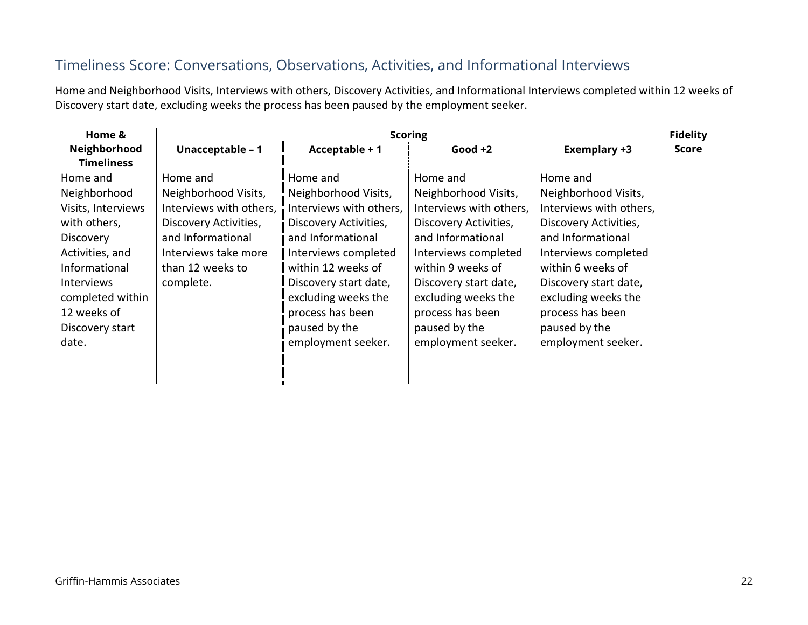# Timeliness Score: Conversations, Observations, Activities, and Informational Interviews

Home and Neighborhood Visits, Interviews with others, Discovery Activities, and Informational Interviews completed within 12 weeks of Discovery start date, excluding weeks the process has been paused by the employment seeker.

| Home &             | <b>Scoring</b>          |                         |                         | <b>Fidelity</b>         |              |
|--------------------|-------------------------|-------------------------|-------------------------|-------------------------|--------------|
| Neighborhood       | Unacceptable - 1        | Acceptable + 1          | Good $+2$               | <b>Exemplary +3</b>     | <b>Score</b> |
| <b>Timeliness</b>  |                         |                         |                         |                         |              |
| Home and           | Home and                | Home and                | Home and                | Home and                |              |
| Neighborhood       | Neighborhood Visits,    | Neighborhood Visits,    | Neighborhood Visits,    | Neighborhood Visits,    |              |
| Visits, Interviews | Interviews with others, | Interviews with others, | Interviews with others, | Interviews with others, |              |
| with others,       | Discovery Activities,   | Discovery Activities,   | Discovery Activities,   | Discovery Activities,   |              |
| <b>Discovery</b>   | and Informational       | and Informational       | and Informational       | and Informational       |              |
| Activities, and    | Interviews take more    | Interviews completed    | Interviews completed    | Interviews completed    |              |
| Informational      | than 12 weeks to        | within 12 weeks of      | within 9 weeks of       | within 6 weeks of       |              |
| <b>Interviews</b>  | complete.               | Discovery start date,   | Discovery start date,   | Discovery start date,   |              |
| completed within   |                         | excluding weeks the     | excluding weeks the     | excluding weeks the     |              |
| 12 weeks of        |                         | process has been        | process has been        | process has been        |              |
| Discovery start    |                         | paused by the           | paused by the           | paused by the           |              |
| date.              |                         | employment seeker.      | employment seeker.      | employment seeker.      |              |
|                    |                         |                         |                         |                         |              |
|                    |                         |                         |                         |                         |              |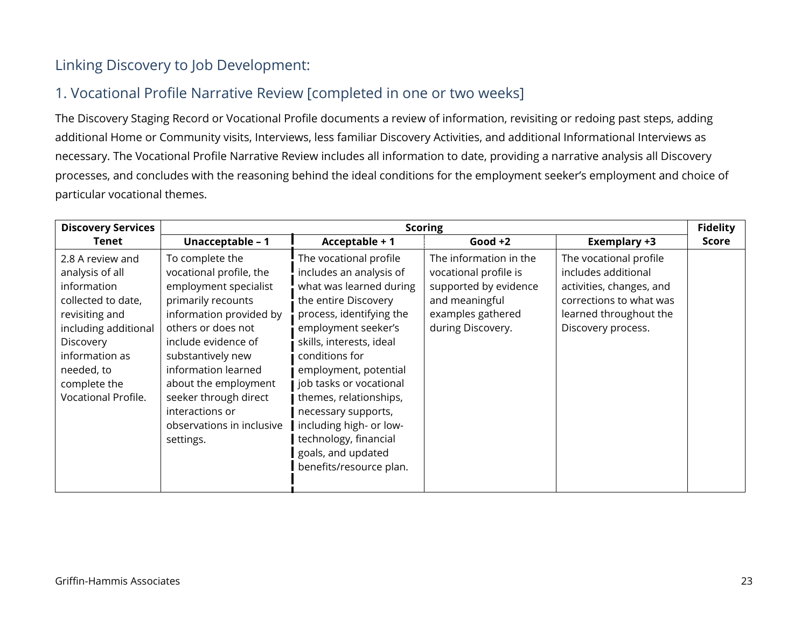# Linking Discovery to Job Development:

# 1. Vocational Profile Narrative Review [completed in one or two weeks]

The Discovery Staging Record or Vocational Profile documents a review of information, revisiting or redoing past steps, adding additional Home or Community visits, Interviews, less familiar Discovery Activities, and additional Informational Interviews as necessary. The Vocational Profile Narrative Review includes all information to date, providing a narrative analysis all Discovery processes, and concludes with the reasoning behind the ideal conditions for the employment seeker's employment and choice of particular vocational themes.

| <b>Discovery Services</b>                                                                                                                                                                              | <b>Scoring</b>                                                                                                                                                                                                                                                                                                              |                                                                                                                                                                                                                                                                                                                                                                                                                 |                                                                                                                                      | <b>Fidelity</b>                                                                                                                                      |              |
|--------------------------------------------------------------------------------------------------------------------------------------------------------------------------------------------------------|-----------------------------------------------------------------------------------------------------------------------------------------------------------------------------------------------------------------------------------------------------------------------------------------------------------------------------|-----------------------------------------------------------------------------------------------------------------------------------------------------------------------------------------------------------------------------------------------------------------------------------------------------------------------------------------------------------------------------------------------------------------|--------------------------------------------------------------------------------------------------------------------------------------|------------------------------------------------------------------------------------------------------------------------------------------------------|--------------|
| Tenet                                                                                                                                                                                                  | Unacceptable - 1                                                                                                                                                                                                                                                                                                            | Acceptable + 1                                                                                                                                                                                                                                                                                                                                                                                                  | Good $+2$                                                                                                                            | Exemplary +3                                                                                                                                         | <b>Score</b> |
| 2.8 A review and<br>analysis of all<br>information<br>collected to date,<br>revisiting and<br>including additional<br>Discovery<br>information as<br>needed, to<br>complete the<br>Vocational Profile. | To complete the<br>vocational profile, the<br>employment specialist<br>primarily recounts<br>information provided by<br>others or does not<br>include evidence of<br>substantively new<br>information learned<br>about the employment<br>seeker through direct<br>interactions or<br>observations in inclusive<br>settings. | The vocational profile<br>includes an analysis of<br>what was learned during<br>the entire Discovery<br>process, identifying the<br>employment seeker's<br>skills, interests, ideal<br>conditions for<br>employment, potential<br>job tasks or vocational<br>themes, relationships,<br>necessary supports,<br>including high- or low-<br>technology, financial<br>goals, and updated<br>benefits/resource plan. | The information in the<br>vocational profile is<br>supported by evidence<br>and meaningful<br>examples gathered<br>during Discovery. | The vocational profile<br>includes additional<br>activities, changes, and<br>corrections to what was<br>learned throughout the<br>Discovery process. |              |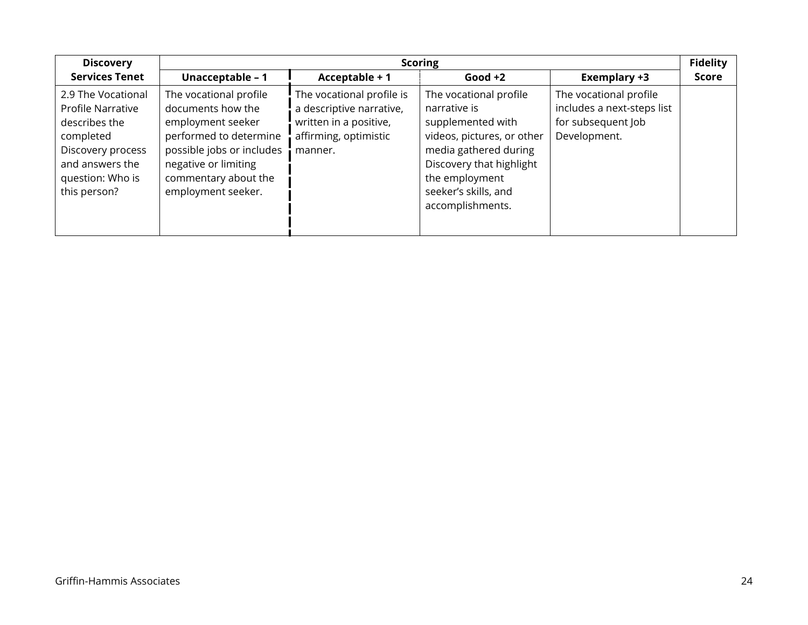| <b>Discovery</b>                                                                                                                                  | <b>Scoring</b>                                                                                                                                                                                |                                                                                                                     |                                                                                                                                                                                                              | <b>Fidelity</b>                                                                            |       |
|---------------------------------------------------------------------------------------------------------------------------------------------------|-----------------------------------------------------------------------------------------------------------------------------------------------------------------------------------------------|---------------------------------------------------------------------------------------------------------------------|--------------------------------------------------------------------------------------------------------------------------------------------------------------------------------------------------------------|--------------------------------------------------------------------------------------------|-------|
| <b>Services Tenet</b>                                                                                                                             | Unacceptable - 1                                                                                                                                                                              | Acceptable + 1                                                                                                      | Good $+2$                                                                                                                                                                                                    | <b>Exemplary +3</b>                                                                        | Score |
| 2.9 The Vocational<br>Profile Narrative<br>describes the<br>completed<br>Discovery process<br>and answers the<br>question: Who is<br>this person? | The vocational profile<br>documents how the<br>employment seeker<br>performed to determine<br>possible jobs or includes<br>negative or limiting<br>commentary about the<br>employment seeker. | The vocational profile is<br>a descriptive narrative,<br>written in a positive,<br>affirming, optimistic<br>manner. | The vocational profile<br>narrative is<br>supplemented with<br>videos, pictures, or other<br>media gathered during<br>Discovery that highlight<br>the employment<br>seeker's skills, and<br>accomplishments. | The vocational profile<br>includes a next-steps list<br>for subsequent Job<br>Development. |       |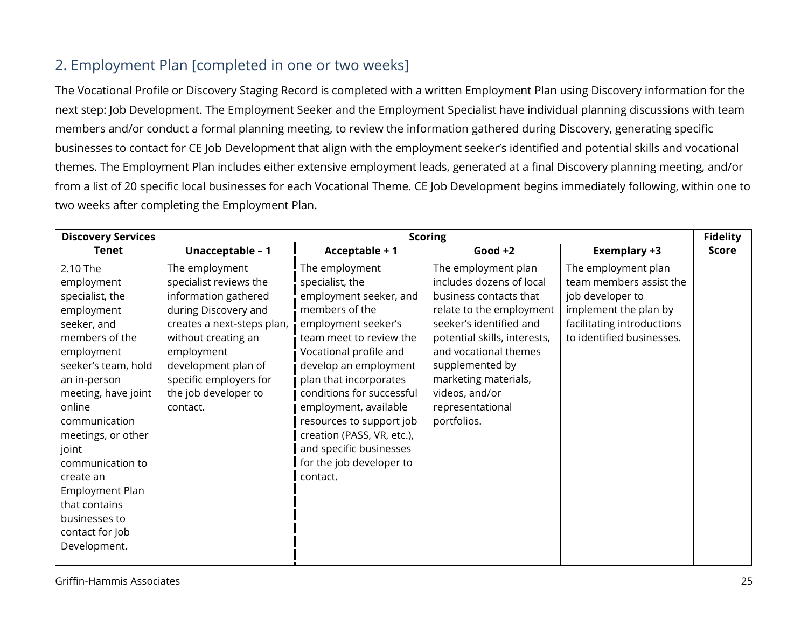# 2. Employment Plan [completed in one or two weeks]

The Vocational Profile or Discovery Staging Record is completed with a written Employment Plan using Discovery information for the next step: Job Development. The Employment Seeker and the Employment Specialist have individual planning discussions with team members and/or conduct a formal planning meeting, to review the information gathered during Discovery, generating specific businesses to contact for CE Job Development that align with the employment seeker's identified and potential skills and vocational themes. The Employment Plan includes either extensive employment leads, generated at a final Discovery planning meeting, and/or from a list of 20 specific local businesses for each Vocational Theme. CE Job Development begins immediately following, within one to two weeks after completing the Employment Plan.

| <b>Discovery Services</b>                                                                                                                                                                                                                                                                                                                               | <b>Scoring</b>                                                                                                                                                                                                                                   |                                                                                                                                                                                                                                                                                                                                                                                                 |                                                                                                                                                                                                                                                                                           | <b>Fidelity</b>                                                                                                                                        |              |
|---------------------------------------------------------------------------------------------------------------------------------------------------------------------------------------------------------------------------------------------------------------------------------------------------------------------------------------------------------|--------------------------------------------------------------------------------------------------------------------------------------------------------------------------------------------------------------------------------------------------|-------------------------------------------------------------------------------------------------------------------------------------------------------------------------------------------------------------------------------------------------------------------------------------------------------------------------------------------------------------------------------------------------|-------------------------------------------------------------------------------------------------------------------------------------------------------------------------------------------------------------------------------------------------------------------------------------------|--------------------------------------------------------------------------------------------------------------------------------------------------------|--------------|
| Tenet                                                                                                                                                                                                                                                                                                                                                   | Unacceptable - 1                                                                                                                                                                                                                                 | Acceptable + 1                                                                                                                                                                                                                                                                                                                                                                                  | Good $+2$                                                                                                                                                                                                                                                                                 | Exemplary +3                                                                                                                                           | <b>Score</b> |
| 2.10 The<br>employment<br>specialist, the<br>employment<br>seeker, and<br>members of the<br>employment<br>seeker's team, hold<br>an in-person<br>meeting, have joint<br>online<br>communication<br>meetings, or other<br>joint<br>communication to<br>create an<br>Employment Plan<br>that contains<br>businesses to<br>contact for Job<br>Development. | The employment<br>specialist reviews the<br>information gathered<br>during Discovery and<br>creates a next-steps plan,<br>without creating an<br>employment<br>development plan of<br>specific employers for<br>the job developer to<br>contact. | The employment<br>specialist, the<br>employment seeker, and<br>members of the<br>employment seeker's<br>team meet to review the<br>Vocational profile and<br>develop an employment<br>plan that incorporates<br>conditions for successful<br>employment, available<br>resources to support job<br>creation (PASS, VR, etc.),<br>and specific businesses<br>for the job developer to<br>contact. | The employment plan<br>includes dozens of local<br>business contacts that<br>relate to the employment<br>seeker's identified and<br>potential skills, interests,<br>and vocational themes<br>supplemented by<br>marketing materials,<br>videos, and/or<br>representational<br>portfolios. | The employment plan<br>team members assist the<br>job developer to<br>implement the plan by<br>facilitating introductions<br>to identified businesses. |              |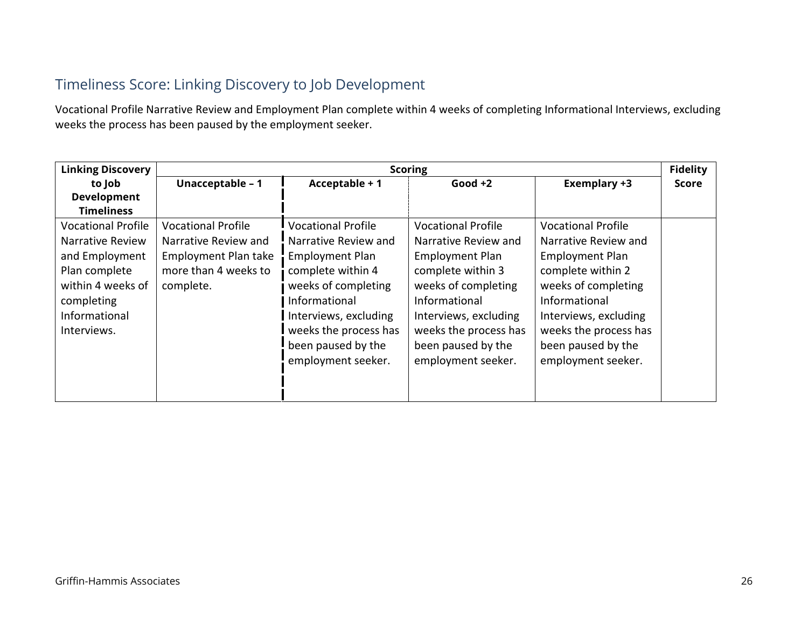# Timeliness Score: Linking Discovery to Job Development

Vocational Profile Narrative Review and Employment Plan complete within 4 weeks of completing Informational Interviews, excluding weeks the process has been paused by the employment seeker.

| <b>Linking Discovery</b>                                                         | <b>Scoring</b>                                                                   |                                                                                                                                                         |                                                                                                                                                         | <b>Fidelity</b>                                                                                                                                         |              |
|----------------------------------------------------------------------------------|----------------------------------------------------------------------------------|---------------------------------------------------------------------------------------------------------------------------------------------------------|---------------------------------------------------------------------------------------------------------------------------------------------------------|---------------------------------------------------------------------------------------------------------------------------------------------------------|--------------|
| to Job                                                                           | Unacceptable - 1                                                                 | Acceptable + 1                                                                                                                                          | Good $+2$                                                                                                                                               | <b>Exemplary +3</b>                                                                                                                                     | <b>Score</b> |
| <b>Development</b>                                                               |                                                                                  |                                                                                                                                                         |                                                                                                                                                         |                                                                                                                                                         |              |
| <b>Timeliness</b>                                                                |                                                                                  |                                                                                                                                                         |                                                                                                                                                         |                                                                                                                                                         |              |
| <b>Vocational Profile</b><br>Narrative Review<br>and Employment                  | <b>Vocational Profile</b><br>Narrative Review and<br><b>Employment Plan take</b> | <b>Vocational Profile</b><br>Narrative Review and<br><b>Employment Plan</b>                                                                             | <b>Vocational Profile</b><br>Narrative Review and<br><b>Employment Plan</b>                                                                             | <b>Vocational Profile</b><br>Narrative Review and<br><b>Employment Plan</b>                                                                             |              |
| Plan complete<br>within 4 weeks of<br>completing<br>Informational<br>Interviews. | more than 4 weeks to<br>complete.                                                | complete within 4<br>weeks of completing<br>Informational<br>Interviews, excluding<br>weeks the process has<br>been paused by the<br>employment seeker. | complete within 3<br>weeks of completing<br>Informational<br>Interviews, excluding<br>weeks the process has<br>been paused by the<br>employment seeker. | complete within 2<br>weeks of completing<br>Informational<br>Interviews, excluding<br>weeks the process has<br>been paused by the<br>employment seeker. |              |